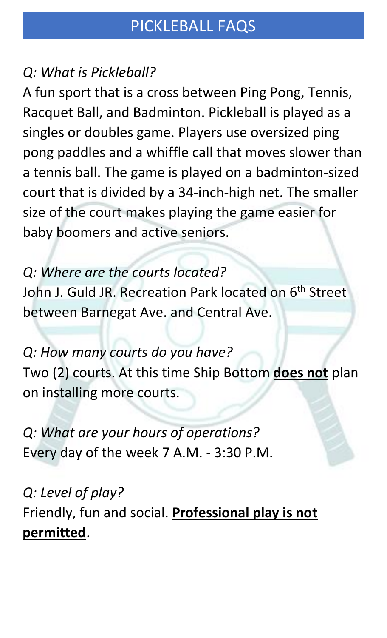## *Q: What is Pickleball?*

A fun sport that is a cross between Ping Pong, Tennis, Racquet Ball, and Badminton. Pickleball is played as a singles or doubles game. Players use oversized ping pong paddles and a whiffle call that moves slower than a tennis ball. The game is played on a badminton-sized court that is divided by a 34-inch-high net. The smaller size of the court makes playing the game easier for baby boomers and active seniors.

## *Q: Where are the courts located?*

John J. Guld JR. Recreation Park located on 6<sup>th</sup> Street between Barnegat Ave. and Central Ave.

## *Q: How many courts do you have?*

Two (2) courts. At this time Ship Bottom **does not** plan on installing more courts.

*Q: What are your hours of operations?* Every day of the week 7 A.M. - 3:30 P.M.

*Q: Level of play?* Friendly, fun and social. **Professional play is not permitted**.